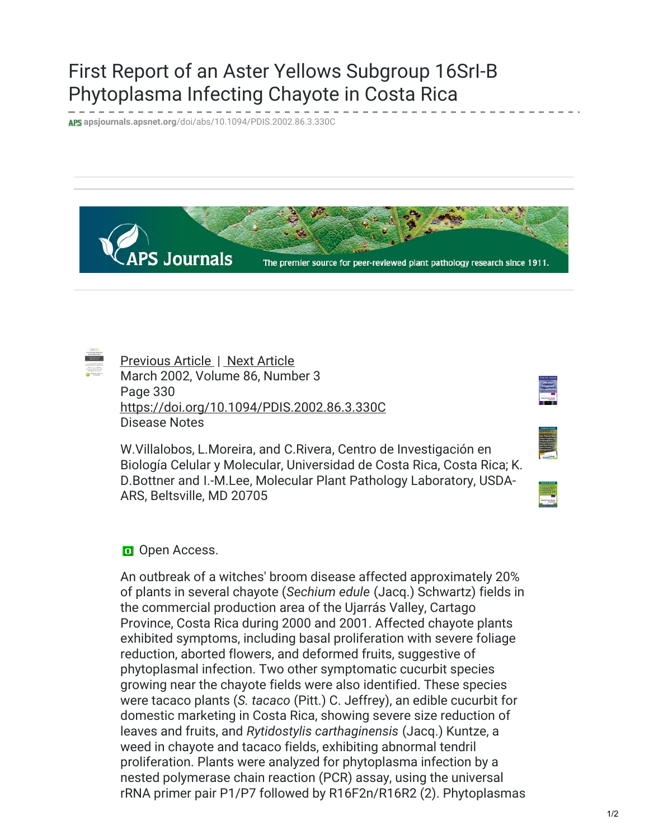## First Report of an Aster Yellows Subgroup 16SrI-B Phytoplasma Infecting Chayote in Costa Rica

**apsjournals.apsnet.org**[/doi/abs/10.1094/PDIS.2002.86.3.330C](https://apsjournals.apsnet.org/doi/abs/10.1094/PDIS.2002.86.3.330C)





[Previous](https://apsjournals.apsnet.org/doi/abs/10.1094/PDIS.2002.86.3.329D) Article | Next [Article](https://apsjournals.apsnet.org/doi/abs/10.1094/PDIS.2002.86.3.330B) March 2002, Volume 86, Number 3 Page 330 <https://doi.org/10.1094/PDIS.2002.86.3.330C> Disease Notes

W.Villalobos, L.Moreira, and C.Rivera, Centro de Investigación en Biología Celular y Molecular, Universidad de Costa Rica, Costa Rica; K. D.Bottner and I.-M.Lee, Molecular Plant Pathology Laboratory, USDA-ARS, Beltsville, MD 20705

| ı      |
|--------|
|        |
|        |
| ŕ<br>ı |
|        |
|        |
|        |
|        |
|        |
|        |
|        |
|        |
|        |
|        |
|        |
|        |
|        |
|        |
|        |

## Open Access.

An outbreak of a witches' broom disease affected approximately 20% of plants in several chayote (*Sechium edule* (Jacq.) Schwartz) fields in the commercial production area of the Ujarrás Valley, Cartago Province, Costa Rica during 2000 and 2001. Affected chayote plants exhibited symptoms, including basal proliferation with severe foliage reduction, aborted flowers, and deformed fruits, suggestive of phytoplasmal infection. Two other symptomatic cucurbit species growing near the chayote fields were also identified. These species were tacaco plants (*S. tacaco* (Pitt.) C. Jeffrey), an edible cucurbit for domestic marketing in Costa Rica, showing severe size reduction of leaves and fruits, and *Rytidostylis carthaginensis* (Jacq.) Kuntze, a weed in chayote and tacaco fields, exhibiting abnormal tendril proliferation. Plants were analyzed for phytoplasma infection by a nested polymerase chain reaction (PCR) assay, using the universal rRNA primer pair P1/P7 followed by R16F2n/R16R2 (2). Phytoplasmas